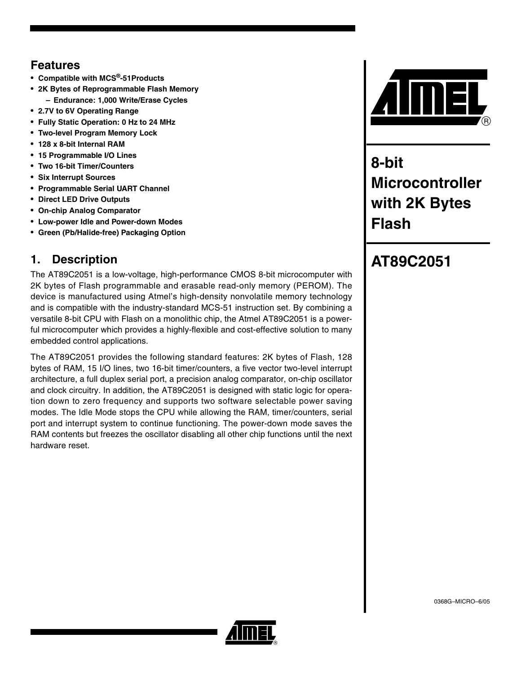# **Features**

- **Compatible with MCS®-51Products**
- **2K Bytes of Reprogrammable Flash Memory – Endurance: 1,000 Write/Erase Cycles**
- **2.7V to 6V Operating Range**
- **Fully Static Operation: 0 Hz to 24 MHz**
- **Two-level Program Memory Lock**
- **128 x 8-bit Internal RAM**
- **15 Programmable I/O Lines**
- **Two 16-bit Timer/Counters**
- **Six Interrupt Sources**
- **Programmable Serial UART Channel**
- **Direct LED Drive Outputs**
- **On-chip Analog Comparator**
- **Low-power Idle and Power-down Modes**
- **Green (Pb/Halide-free) Packaging Option**

## **1. Description**

The AT89C2051 is a low-voltage, high-performance CMOS 8-bit microcomputer with 2K bytes of Flash programmable and erasable read-only memory (PEROM). The device is manufactured using Atmel's high-density nonvolatile memory technology and is compatible with the industry-standard MCS-51 instruction set. By combining a versatile 8-bit CPU with Flash on a monolithic chip, the Atmel AT89C2051 is a powerful microcomputer which provides a highly-flexible and cost-effective solution to many embedded control applications.

The AT89C2051 provides the following standard features: 2K bytes of Flash, 128 bytes of RAM, 15 I/O lines, two 16-bit timer/counters, a five vector two-level interrupt architecture, a full duplex serial port, a precision analog comparator, on-chip oscillator and clock circuitry. In addition, the AT89C2051 is designed with static logic for operation down to zero frequency and supports two software selectable power saving modes. The Idle Mode stops the CPU while allowing the RAM, timer/counters, serial port and interrupt system to continue functioning. The power-down mode saves the RAM contents but freezes the oscillator disabling all other chip functions until the next hardware reset.



**8-bit Microcontroller with 2K Bytes Flash**

# **AT89C2051**

0368G–MICRO–6/05

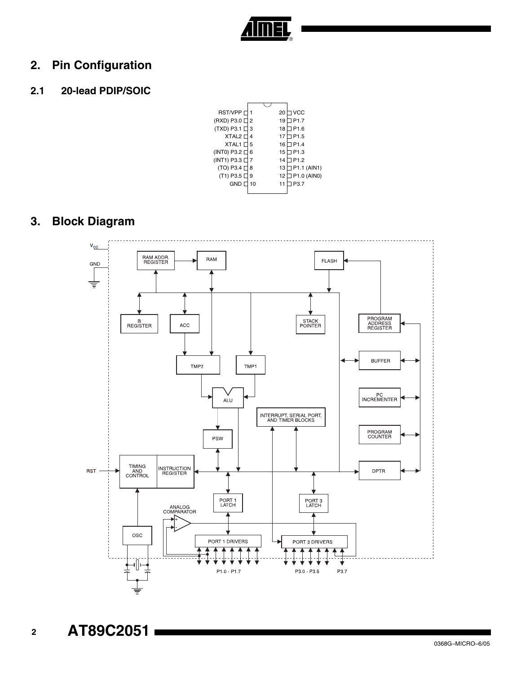

# **2. Pin Configuration**

## **2.1 20-lead PDIP/SOIC**



## **3. Block Diagram**



 **2 AT89C2051**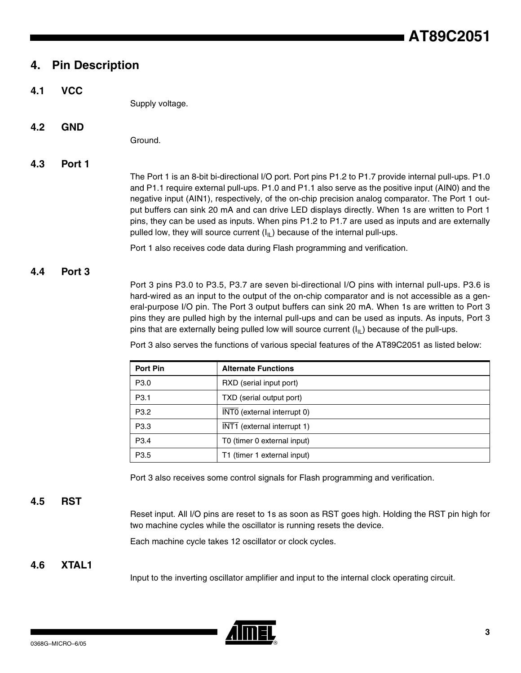## **4. Pin Description**

#### **4.1 VCC**

Supply voltage.

**4.2 GND**

Ground.

#### **4.3 Port 1**

The Port 1 is an 8-bit bi-directional I/O port. Port pins P1.2 to P1.7 provide internal pull-ups. P1.0 and P1.1 require external pull-ups. P1.0 and P1.1 also serve as the positive input (AIN0) and the negative input (AIN1), respectively, of the on-chip precision analog comparator. The Port 1 output buffers can sink 20 mA and can drive LED displays directly. When 1s are written to Port 1 pins, they can be used as inputs. When pins P1.2 to P1.7 are used as inputs and are externally pulled low, they will source current  $(I_{II})$  because of the internal pull-ups.

Port 1 also receives code data during Flash programming and verification.

#### **4.4 Port 3**

Port 3 pins P3.0 to P3.5, P3.7 are seven bi-directional I/O pins with internal pull-ups. P3.6 is hard-wired as an input to the output of the on-chip comparator and is not accessible as a general-purpose I/O pin. The Port 3 output buffers can sink 20 mA. When 1s are written to Port 3 pins they are pulled high by the internal pull-ups and can be used as inputs. As inputs, Port 3 pins that are externally being pulled low will source current  $(I<sub>II</sub>)$  because of the pull-ups.

Port 3 also serves the functions of various special features of the AT89C2051 as listed below:

| <b>Port Pin</b>  | <b>Alternate Functions</b>                      |
|------------------|-------------------------------------------------|
| P <sub>3.0</sub> | RXD (serial input port)                         |
| P <sub>3.1</sub> | TXD (serial output port)                        |
| P <sub>3.2</sub> | INTO (external interrupt 0)                     |
| P <sub>3.3</sub> | $\overline{\text{INT1}}$ (external interrupt 1) |
| P <sub>3.4</sub> | T0 (timer 0 external input)                     |
| P <sub>3.5</sub> | T1 (timer 1 external input)                     |

Port 3 also receives some control signals for Flash programming and verification.

#### **4.5 RST**

Reset input. All I/O pins are reset to 1s as soon as RST goes high. Holding the RST pin high for two machine cycles while the oscillator is running resets the device.

Each machine cycle takes 12 oscillator or clock cycles.

#### **4.6 XTAL1**

Input to the inverting oscillator amplifier and input to the internal clock operating circuit.

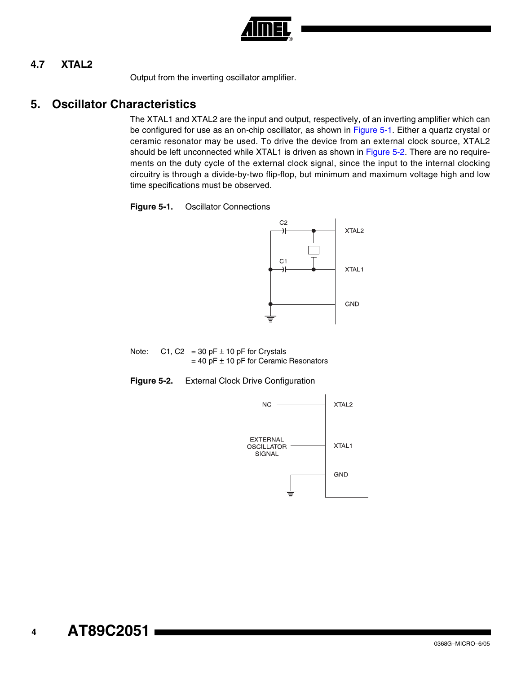

## **4.7 XTAL2**

Output from the inverting oscillator amplifier.

## **5. Oscillator Characteristics**

The XTAL1 and XTAL2 are the input and output, respectively, of an inverting amplifier which can be configured for use as an on-chip oscillator, as shown in [Figure 5-1](#page-3-0). Either a quartz crystal or ceramic resonator may be used. To drive the device from an external clock source, XTAL2 should be left unconnected while XTAL1 is driven as shown in [Figure 5-2.](#page-3-1) There are no requirements on the duty cycle of the external clock signal, since the input to the internal clocking circuitry is through a divide-by-two flip-flop, but minimum and maximum voltage high and low time specifications must be observed.

<span id="page-3-0"></span>



Note: C1, C2 = 30 pF  $\pm$  10 pF for Crystals  $= 40$  pF  $\pm$  10 pF for Ceramic Resonators

<span id="page-3-1"></span>

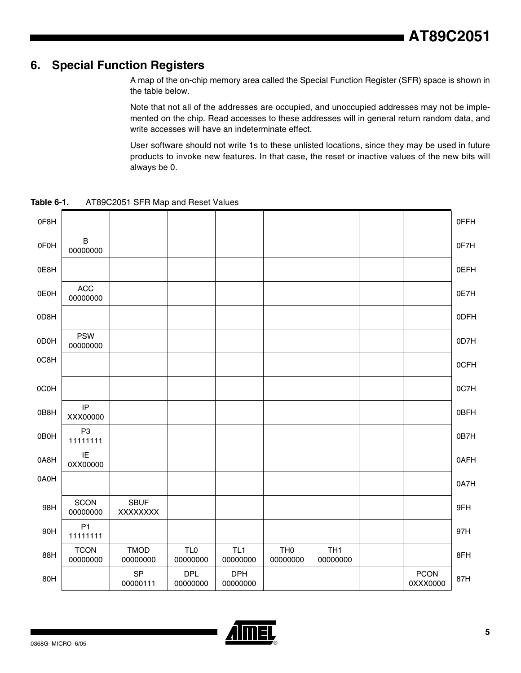## **6. Special Function Registers**

A map of the on-chip memory area called the Special Function Register (SFR) space is shown in the table below.

Note that not all of the addresses are occupied, and unoccupied addresses may not be implemented on the chip. Read accesses to these addresses will in general return random data, and write accesses will have an indeterminate effect.

User software should not write 1s to these unlisted locations, since they may be used in future products to invoke new features. In that case, the reset or inactive values of the new bits will always be 0.

| 0F8H |                            |                         |                             |                             |                             |                             |                         | 0FFH        |
|------|----------------------------|-------------------------|-----------------------------|-----------------------------|-----------------------------|-----------------------------|-------------------------|-------------|
| 0F0H | B<br>00000000              |                         |                             |                             |                             |                             |                         | 0F7H        |
| 0E8H |                            |                         |                             |                             |                             |                             |                         | <b>OEFH</b> |
| 0E0H | ACC<br>00000000            |                         |                             |                             |                             |                             |                         | 0E7H        |
| 0D8H |                            |                         |                             |                             |                             |                             |                         | 0DFH        |
| 0D0H | <b>PSW</b><br>00000000     |                         |                             |                             |                             |                             |                         | 0D7H        |
| 0C8H |                            |                         |                             |                             |                             |                             |                         | 0CFH        |
| 0C0H |                            |                         |                             |                             |                             |                             |                         | 0C7H        |
| 0B8H | $\sf IP$<br>XXX00000       |                         |                             |                             |                             |                             |                         | 0BFH        |
| 0B0H | P <sub>3</sub><br>11111111 |                         |                             |                             |                             |                             |                         | 0B7H        |
| 0A8H | IE<br>0XX00000             |                         |                             |                             |                             |                             |                         | 0AFH        |
| 0A0H |                            |                         |                             |                             |                             |                             |                         | 0A7H        |
| 98H  | <b>SCON</b><br>00000000    | <b>SBUF</b><br>XXXXXXX  |                             |                             |                             |                             |                         | 9FH         |
| 90H  | P <sub>1</sub><br>11111111 |                         |                             |                             |                             |                             |                         | 97H         |
| 88H  | <b>TCON</b><br>00000000    | <b>TMOD</b><br>00000000 | TL <sub>0</sub><br>00000000 | TL <sub>1</sub><br>00000000 | TH <sub>0</sub><br>00000000 | TH <sub>1</sub><br>00000000 |                         | 8FH         |
| 80H  |                            | <b>SP</b><br>00000111   | <b>DPL</b><br>00000000      | <b>DPH</b><br>00000000      |                             |                             | <b>PCON</b><br>0XXX0000 | 87H         |

**Table 6-1.** AT89C2051 SFR Map and Reset Values

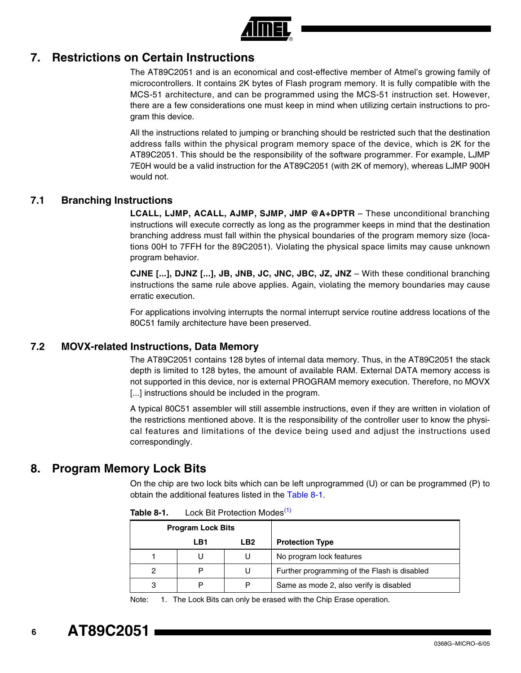

## **7. Restrictions on Certain Instructions**

The AT89C2051 and is an economical and cost-effective member of Atmel's growing family of microcontrollers. It contains 2K bytes of Flash program memory. It is fully compatible with the MCS-51 architecture, and can be programmed using the MCS-51 instruction set. However, there are a few considerations one must keep in mind when utilizing certain instructions to program this device.

All the instructions related to jumping or branching should be restricted such that the destination address falls within the physical program memory space of the device, which is 2K for the AT89C2051. This should be the responsibility of the software programmer. For example, LJMP 7E0H would be a valid instruction for the AT89C2051 (with 2K of memory), whereas LJMP 900H would not.

#### **7.1 Branching Instructions**

**LCALL, LJMP, ACALL, AJMP, SJMP, JMP @A+DPTR** – These unconditional branching instructions will execute correctly as long as the programmer keeps in mind that the destination branching address must fall within the physical boundaries of the program memory size (locations 00H to 7FFH for the 89C2051). Violating the physical space limits may cause unknown program behavior.

**CJNE [...], DJNZ [...], JB, JNB, JC, JNC, JBC, JZ, JNZ** – With these conditional branching instructions the same rule above applies. Again, violating the memory boundaries may cause erratic execution.

For applications involving interrupts the normal interrupt service routine address locations of the 80C51 family architecture have been preserved.

#### **7.2 MOVX-related Instructions, Data Memory**

The AT89C2051 contains 128 bytes of internal data memory. Thus, in the AT89C2051 the stack depth is limited to 128 bytes, the amount of available RAM. External DATA memory access is not supported in this device, nor is external PROGRAM memory execution. Therefore, no MOVX [...] instructions should be included in the program.

A typical 80C51 assembler will still assemble instructions, even if they are written in violation of the restrictions mentioned above. It is the responsibility of the controller user to know the physical features and limitations of the device being used and adjust the instructions used correspondingly.

## **8. Program Memory Lock Bits**

On the chip are two lock bits which can be left unprogrammed (U) or can be programmed (P) to obtain the additional features listed in the [Table 8-1.](#page-5-1)

| <b>Program Lock Bits</b> |     |                 |                                              |
|--------------------------|-----|-----------------|----------------------------------------------|
|                          | LB1 | LB <sub>2</sub> | <b>Protection Type</b>                       |
|                          | U   |                 | No program lock features                     |
|                          | P   |                 | Further programming of the Flash is disabled |
| 3                        | P   | P               | Same as mode 2, also verify is disabled      |

<span id="page-5-1"></span>**Table 8-1.** Lock Bit Protection Modes<sup>[\(1\)](#page-5-0)</sup>

<span id="page-5-0"></span>Note: 1. The Lock Bits can only be erased with the Chip Erase operation.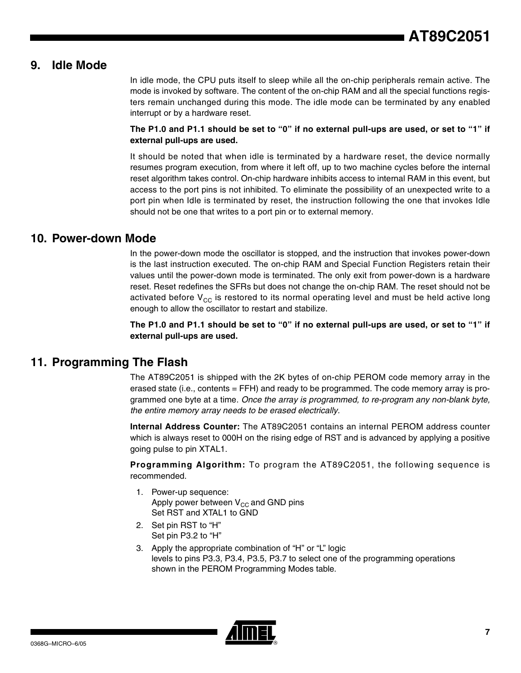## **9. Idle Mode**

In idle mode, the CPU puts itself to sleep while all the on-chip peripherals remain active. The mode is invoked by software. The content of the on-chip RAM and all the special functions registers remain unchanged during this mode. The idle mode can be terminated by any enabled interrupt or by a hardware reset.

**The P1.0 and P1.1 should be set to "0" if no external pull-ups are used, or set to "1" if external pull-ups are used.**

It should be noted that when idle is terminated by a hardware reset, the device normally resumes program execution, from where it left off, up to two machine cycles before the internal reset algorithm takes control. On-chip hardware inhibits access to internal RAM in this event, but access to the port pins is not inhibited. To eliminate the possibility of an unexpected write to a port pin when Idle is terminated by reset, the instruction following the one that invokes Idle should not be one that writes to a port pin or to external memory.

## **10. Power-down Mode**

In the power-down mode the oscillator is stopped, and the instruction that invokes power-down is the last instruction executed. The on-chip RAM and Special Function Registers retain their values until the power-down mode is terminated. The only exit from power-down is a hardware reset. Reset redefines the SFRs but does not change the on-chip RAM. The reset should not be activated before  $V_{CC}$  is restored to its normal operating level and must be held active long enough to allow the oscillator to restart and stabilize.

**The P1.0 and P1.1 should be set to "0" if no external pull-ups are used, or set to "1" if external pull-ups are used.**

## **11. Programming The Flash**

The AT89C2051 is shipped with the 2K bytes of on-chip PEROM code memory array in the erased state (i.e., contents = FFH) and ready to be programmed. The code memory array is programmed one byte at a time. *Once the array is programmed, to re-program any non-blank byte, the entire memory array needs to be erased electrically.*

**Internal Address Counter:** The AT89C2051 contains an internal PEROM address counter which is always reset to 000H on the rising edge of RST and is advanced by applying a positive going pulse to pin XTAL1.

**Programming Algorithm:** To program the AT89C2051, the following sequence is recommended.

- 1. Power-up sequence: Apply power between  $V_{CC}$  and GND pins Set RST and XTAL1 to GND
- 2. Set pin RST to "H" Set pin P3.2 to "H"
- 3. Apply the appropriate combination of "H" or "L" logic levels to pins P3.3, P3.4, P3.5, P3.7 to select one of the programming operations shown in the PEROM Programming Modes table.

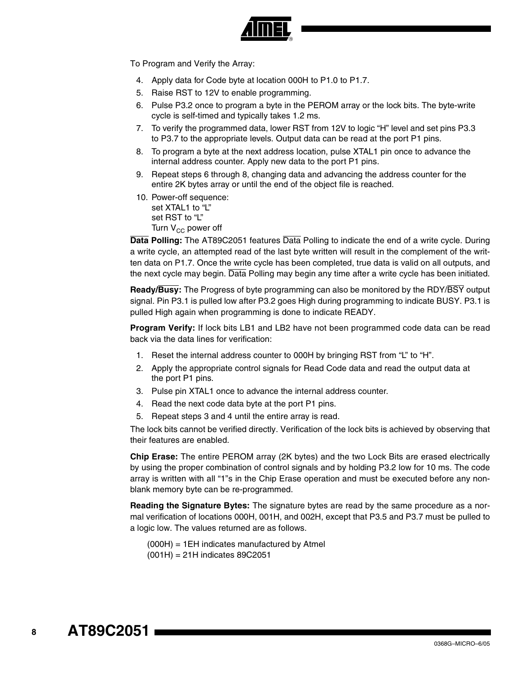

To Program and Verify the Array:

- 4. Apply data for Code byte at location 000H to P1.0 to P1.7.
- 5. Raise RST to 12V to enable programming.
- 6. Pulse P3.2 once to program a byte in the PEROM array or the lock bits. The byte-write cycle is self-timed and typically takes 1.2 ms.
- 7. To verify the programmed data, lower RST from 12V to logic "H" level and set pins P3.3 to P3.7 to the appropriate levels. Output data can be read at the port P1 pins.
- 8. To program a byte at the next address location, pulse XTAL1 pin once to advance the internal address counter. Apply new data to the port P1 pins.
- 9. Repeat steps 6 through 8, changing data and advancing the address counter for the entire 2K bytes array or until the end of the object file is reached.
- 10. Power-off sequence: set XTAL1 to "L" set RST to "L" Turn  $V_{CC}$  power off

**Data Polling:** The AT89C2051 features Data Polling to indicate the end of a write cycle. During a write cycle, an attempted read of the last byte written will result in the complement of the written data on P1.7. Once the write cycle has been completed, true data is valid on all outputs, and the next cycle may begin. Data Polling may begin any time after a write cycle has been initiated.

**Ready/Busy:** The Progress of byte programming can also be monitored by the RDY/BSY output signal. Pin P3.1 is pulled low after P3.2 goes High during programming to indicate BUSY. P3.1 is pulled High again when programming is done to indicate READY.

**Program Verify:** If lock bits LB1 and LB2 have not been programmed code data can be read back via the data lines for verification:

- 1. Reset the internal address counter to 000H by bringing RST from "L" to "H".
- 2. Apply the appropriate control signals for Read Code data and read the output data at the port P1 pins.
- 3. Pulse pin XTAL1 once to advance the internal address counter.
- 4. Read the next code data byte at the port P1 pins.
- 5. Repeat steps 3 and 4 until the entire array is read.

The lock bits cannot be verified directly. Verification of the lock bits is achieved by observing that their features are enabled.

**Chip Erase:** The entire PEROM array (2K bytes) and the two Lock Bits are erased electrically by using the proper combination of control signals and by holding P3.2 low for 10 ms. The code array is written with all "1"s in the Chip Erase operation and must be executed before any nonblank memory byte can be re-programmed.

**Reading the Signature Bytes:** The signature bytes are read by the same procedure as a normal verification of locations 000H, 001H, and 002H, except that P3.5 and P3.7 must be pulled to a logic low. The values returned are as follows.

 (000H) = 1EH indicates manufactured by Atmel (001H) = 21H indicates 89C2051

 **8**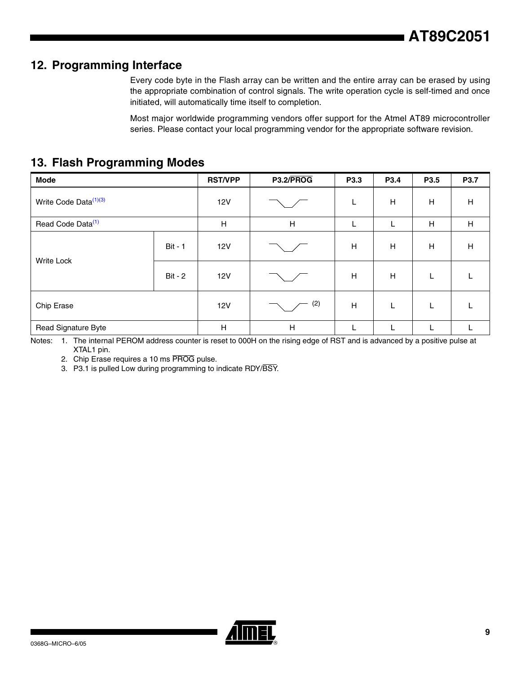## **12. Programming Interface**

Every code byte in the Flash array can be written and the entire array can be erased by using the appropriate combination of control signals. The write operation cycle is self-timed and once initiated, will automatically time itself to completion.

Most major worldwide programming vendors offer support for the Atmel AT89 microcontroller series. Please contact your local programming vendor for the appropriate software revision.

## **13. Flash Programming Modes**

| <b>Mode</b>                       |                | <b>RST/VPP</b> | P3.2/PROG    | P3.3 | P3.4 | P3.5 | P3.7 |
|-----------------------------------|----------------|----------------|--------------|------|------|------|------|
| Write Code Data <sup>(1)(3)</sup> |                | 12V            |              | L    | H    | н    | H    |
| Read Code Data <sup>(1)</sup>     |                | H              | H            | ш    |      | H    | H    |
| <b>Write Lock</b>                 | <b>Bit - 1</b> | 12V            |              | H    | H    | H    | H    |
|                                   | <b>Bit - 2</b> | 12V            |              | H    | H    | L    | L    |
| Chip Erase                        |                | <b>12V</b>     | $-$ (2)      | H    | L    | L    |      |
| Read Signature Byte               |                | H              | $\mathsf{H}$ | L    |      |      | L    |

<span id="page-8-2"></span><span id="page-8-1"></span><span id="page-8-0"></span>Notes: 1. The internal PEROM address counter is reset to 000H on the rising edge of RST and is advanced by a positive pulse at XTAL1 pin.

2. Chip Erase requires a 10 ms PROG pulse.

3. P3.1 is pulled Low during programming to indicate RDY/BSY.

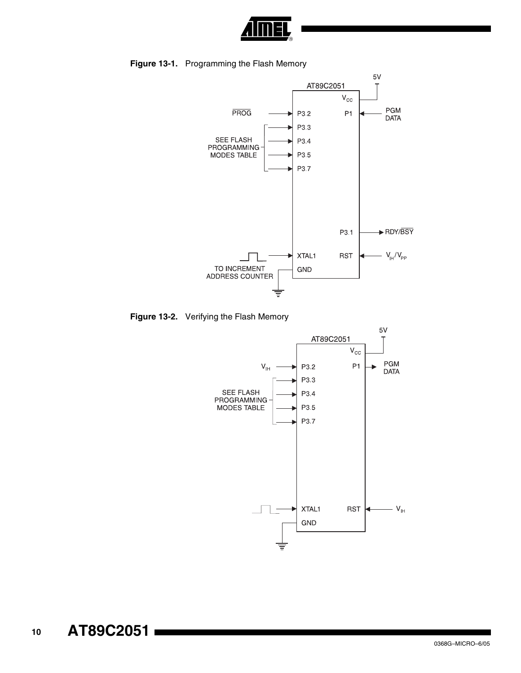



**Figure 13-1.** Programming the Flash Memory

**Figure 13-2.** Verifying the Flash Memory

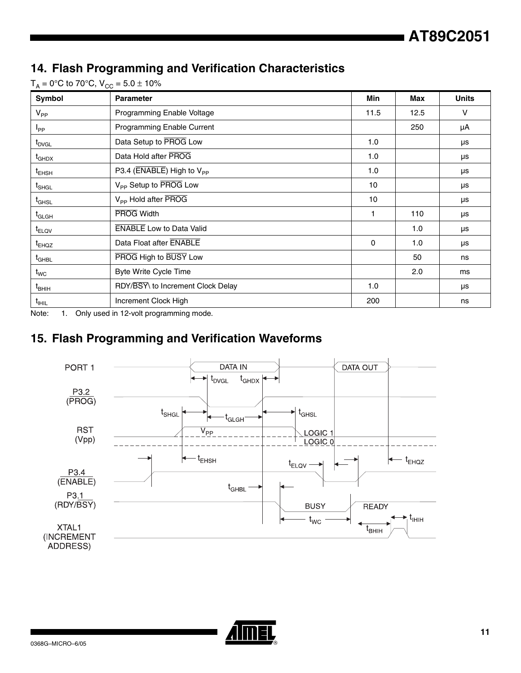# **14. Flash Programming and Verification Characteristics**

 $T_A = 0$ °C to 70°C, V<sub>CC</sub> = 5.0 ± 10%

| <b>Symbol</b>                               | <b>Parameter</b>                                            |      | Max  | <b>Units</b> |
|---------------------------------------------|-------------------------------------------------------------|------|------|--------------|
| $V_{PP}$                                    | Programming Enable Voltage                                  | 11.5 | 12.5 | V            |
| $I_{\mathsf{PP}}$                           | Programming Enable Current                                  |      | 250  | μA           |
| t <sub>DVGL</sub>                           | Data Setup to PROG Low                                      | 1.0  |      | μs           |
| $t_{GHDX}$                                  | Data Hold after PROG                                        | 1.0  |      | μs           |
| $t_{\sf EHSH}$                              | P3.4 ( $\overline{\text{ENABLE}}$ ) High to $V_{\text{PP}}$ | 1.0  |      | μs           |
| $\mathfrak{t}_{\mathsf{SHGL}}$              | V <sub>PP</sub> Setup to PROG Low                           | 10   |      | μs           |
| $\textnormal{t}_{\scriptsize\textsf{GHSL}}$ | V <sub>PP</sub> Hold after PROG                             | 10   |      | μs           |
| $t_{\scriptstyle\rm GLGH}$                  | <b>PROG Width</b>                                           | 1    | 110  | μs           |
| t <sub>ELQV</sub>                           | <b>ENABLE Low to Data Valid</b>                             |      | 1.0  | μs           |
| t <sub>EHQZ</sub>                           | Data Float after ENABLE                                     | 0    | 1.0  | μs           |
| $\mathsf{t}_{\mathsf{GHBL}}$                | PROG High to BUSY Low                                       |      | 50   | ns           |
| $t_{\mathsf{WC}}$                           | <b>Byte Write Cycle Time</b>                                |      | 2.0  | ms           |
| $t_{\sf BHIH}$                              | RDY/BSY\ to Increment Clock Delay                           | 1.0  |      | μs           |
| $t_{\text{HHL}}$                            | Increment Clock High                                        | 200  |      | ns           |

Note: 1. Only used in 12-volt programming mode.

# **15. Flash Programming and Verification Waveforms**



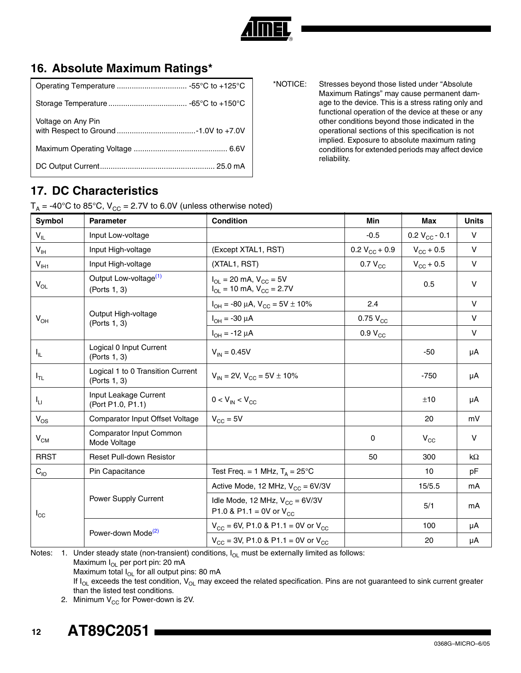

# **16. Absolute Maximum Ratings\***

| Voltage on Any Pin |
|--------------------|
|                    |
|                    |

\*NOTICE: Stresses beyond those listed under "Absolute Maximum Ratings" may cause permanent damage to the device. This is a stress rating only and functional operation of the device at these or any other conditions beyond those indicated in the operational sections of this specification is not implied. Exposure to absolute maximum rating conditions for extended periods may affect device reliability.

# **17. DC Characteristics**

 $T_A = -40^{\circ}$ C to 85°C,  $V_{C}C = 2.7V$  to 6.0V (unless otherwise noted)

| Symbol                     | <b>Parameter</b>                                  | <b>Condition</b>                                                                         | Min                | Max                   | <b>Units</b> |
|----------------------------|---------------------------------------------------|------------------------------------------------------------------------------------------|--------------------|-----------------------|--------------|
| $V_{IL}$                   | Input Low-voltage                                 |                                                                                          | $-0.5$             | 0.2 $V_{CC}$ - 0.1    | $\mathsf{V}$ |
| $\mathsf{V}_{\mathsf{IH}}$ | Input High-voltage                                | (Except XTAL1, RST)                                                                      | $0.2 V_{CC} + 0.9$ | $V_{\text{CC}} + 0.5$ | $\vee$       |
| $V_{I H1}$                 | Input High-voltage                                | (XTAL1, RST)                                                                             | 0.7 $V_{CC}$       | $V_{\rm CC}$ + 0.5    | V            |
| $V_{OL}$                   | Output Low-voltage <sup>(1)</sup><br>(Ports 1, 3) | $I_{\text{Cl}} = 20 \text{ mA}, V_{\text{CC}} = 5V$<br>$I_{OL}$ = 10 mA, $V_{CC}$ = 2.7V |                    | 0.5                   | V            |
|                            |                                                   | $I_{OH}$ = -80 µA, $V_{CC}$ = 5V ± 10%                                                   | 2.4                |                       | $\mathsf{V}$ |
| $V_{OH}$                   | Output High-voltage<br>(Ports 1, 3)               | $I_{OH} = -30 \mu A$                                                                     | $0.75 V_{CC}$      |                       | $\vee$       |
|                            |                                                   | $I_{OH} = -12 \mu A$                                                                     | $0.9 V_{CC}$       |                       | V            |
| $I_{\rm IL}$               | Logical 0 Input Current<br>(Ports 1, 3)           | $V_{IN} = 0.45V$                                                                         |                    | $-50$                 | μA           |
| $I_{TL}$                   | Logical 1 to 0 Transition Current<br>(Ports 1, 3) | $V_{IN}$ = 2V, $V_{CC}$ = 5V $\pm$ 10%                                                   |                    | $-750$                | μA           |
| $I_{LI}$                   | Input Leakage Current<br>(Port P1.0, P1.1)        | $0 < V_{IN} < V_{CC}$                                                                    |                    | ±10                   | μA           |
| $V_{OS}$                   | <b>Comparator Input Offset Voltage</b>            | $V_{CC} = 5V$                                                                            |                    | 20                    | mV           |
| $V_{CM}$                   | Comparator Input Common<br>Mode Voltage           |                                                                                          | $\mathbf 0$        | $V_{\rm CC}$          | $\vee$       |
| <b>RRST</b>                | Reset Pull-down Resistor                          |                                                                                          | 50                 | 300                   | k $\Omega$   |
| $C_{IO}$                   | Pin Capacitance                                   | Test Freq. = 1 MHz, $T_A = 25^{\circ}$ C                                                 |                    | 10                    | pF           |
|                            |                                                   | Active Mode, 12 MHz, $V_{CC} = 6V/3V$                                                    |                    | 15/5.5                | mA           |
| $I_{\rm CC}$               | Power Supply Current                              | Idle Mode, 12 MHz, $V_{CC} = 6V/3V$<br>P1.0 & P1.1 = 0V or $V_{CC}$                      |                    | 5/1                   | mA           |
|                            |                                                   | $V_{CC}$ = 6V, P1.0 & P1.1 = 0V or $V_{CC}$                                              |                    | 100                   | μA           |
|                            | Power-down Mode <sup>(2)</sup>                    | $V_{CC}$ = 3V, P1.0 & P1.1 = 0V or $V_{CC}$                                              |                    | 20                    | μA           |

<span id="page-11-0"></span>Notes: 1. Under steady state (non-transient) conditions,  $I_{OL}$  must be externally limited as follows:

Maximum  $I_{OL}$  per port pin: 20 mA

Maximum total  $I_{OL}$  for all output pins: 80 mA

If  $I_{OL}$  exceeds the test condition,  $V_{OL}$  may exceed the related specification. Pins are not guaranteed to sink current greater than the listed test conditions.

2. Minimum  $V_{CC}$  for Power-down is 2V.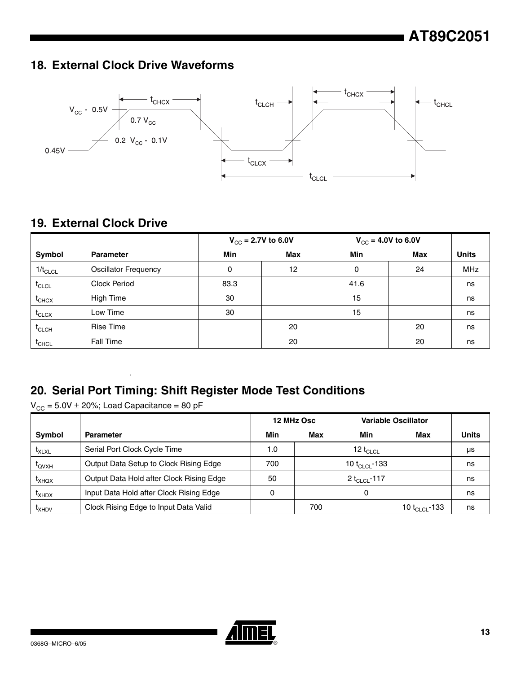# **18. External Clock Drive Waveforms**



# **19. External Clock Drive**

|                   |                             |            | $V_{CC}$ = 2.7V to 6.0V |            | $V_{CC}$ = 4.0V to 6.0V |              |
|-------------------|-----------------------------|------------|-------------------------|------------|-------------------------|--------------|
| Symbol            | <b>Parameter</b>            | <b>Min</b> | Max                     | <b>Min</b> | <b>Max</b>              | <b>Units</b> |
| $1/t_{CLCL}$      | <b>Oscillator Frequency</b> | 0          | 12                      | 0          | 24                      | <b>MHz</b>   |
| $t_{CLCL}$        | <b>Clock Period</b>         | 83.3       |                         | 41.6       |                         | ns           |
| $t_{CHCX}$        | High Time                   | 30         |                         | 15         |                         | ns           |
| $t_{\text{CLCX}}$ | Low Time                    | 30         |                         | 15         |                         | ns           |
| $t_{CLCH}$        | <b>Rise Time</b>            |            | 20                      |            | 20                      | ns           |
| $t_{CHCL}$        | Fall Time                   |            | 20                      |            | 20                      | ns           |

# **20. Serial Port Timing: Shift Register Mode Test Conditions**

 $V_{CC} = 5.0V \pm 20\%$ ; Load Capacitance = 80 pF

|                                |                                          | 12 MHz Osc |     | <b>Variable Oscillator</b> |                    |              |
|--------------------------------|------------------------------------------|------------|-----|----------------------------|--------------------|--------------|
| Symbol                         | <b>Parameter</b>                         | Min        | Max | Min                        | Max                | <b>Units</b> |
| $\mathfrak{r}_{\mathsf{XLXL}}$ | Serial Port Clock Cycle Time             | 1.0        |     | 12 $t_{CLCL}$              |                    | μs           |
| <b>LOVXH</b>                   | Output Data Setup to Clock Rising Edge   | 700        |     | 10 $t_{CLCL}$ -133         |                    | ns           |
| <sup>L</sup> XHQX              | Output Data Hold after Clock Rising Edge | 50         |     | 2 t <sub>ol ol</sub> -117  |                    | ns           |
| <sup>L</sup> XHDX              | Input Data Hold after Clock Rising Edge  | $\Omega$   |     | 0                          |                    | ns           |
| <sup>L</sup> XHDV              | Clock Rising Edge to Input Data Valid    |            | 700 |                            | 10 $t_{CLCL}$ -133 | ns           |

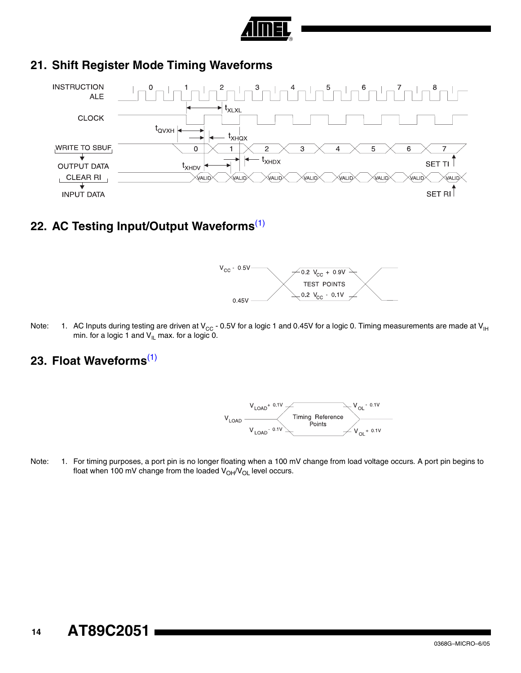

# **21. Shift Register Mode Timing Waveforms**



# **22. AC Testing Input/Output Waveforms**[\(1\)](#page-13-0)



<span id="page-13-0"></span>Note: 1. AC Inputs during testing are driven at V<sub>CC</sub> - 0.5V for a logic 1 and 0.45V for a logic 0. Timing measurements are made at V<sub>IH</sub> min. for a logic 1 and  $V_{IL}$  max. for a logic 0.

## **23. Float Waveforms**[\(1\)](#page-13-1)



<span id="page-13-1"></span>Note: 1. For timing purposes, a port pin is no longer floating when a 100 mV change from load voltage occurs. A port pin begins to float when 100 mV change from the loaded  $V_{OH}/V_{OL}$  level occurs.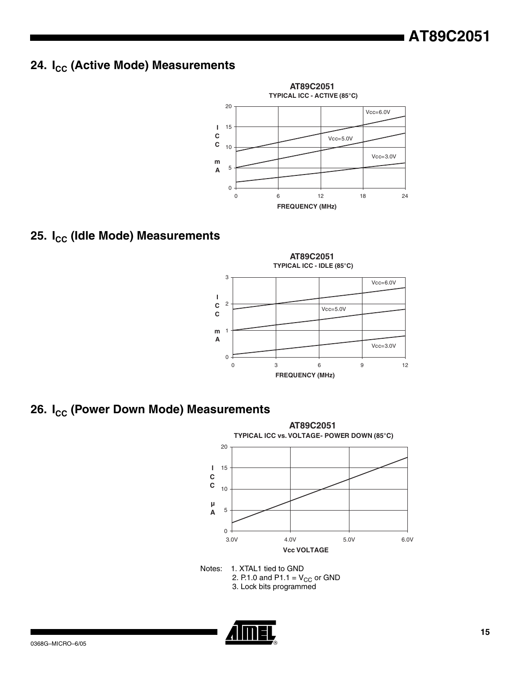# **24. I<sub>CC</sub> (Active Mode) Measurements**



# 25. I<sub>CC</sub> (Idle Mode) Measurements



26. I<sub>CC</sub> (Power Down Mode) Measurements



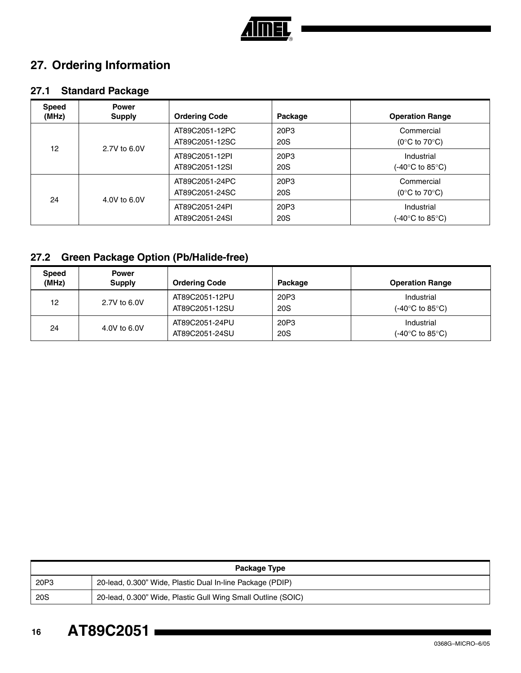

# **27. Ordering Information**

# **27.1 Standard Package**

| <b>Speed</b><br>(MHz) | <b>Power</b><br><b>Supply</b>    | <b>Ordering Code</b>             | Package                       | <b>Operation Range</b>                                   |
|-----------------------|----------------------------------|----------------------------------|-------------------------------|----------------------------------------------------------|
|                       |                                  | AT89C2051-12PC<br>AT89C2051-12SC | 20P3<br><b>20S</b>            | Commercial<br>(0 $\rm ^{\circ}C$ to 70 $\rm ^{\circ}C$ ) |
| 12<br>2.7V to 6.0V    | AT89C2051-12PI<br>AT89C2051-12SI | 20P3<br><b>20S</b>               | Industrial<br>(-40°C to 85°C) |                                                          |
|                       |                                  | AT89C2051-24PC<br>AT89C2051-24SC | 20P3<br><b>20S</b>            | Commercial<br>$(0^{\circ}C$ to $70^{\circ}C)$            |
| 24                    | 4.0V to 6.0V                     | AT89C2051-24PI<br>AT89C2051-24SI | 20P3<br><b>20S</b>            | Industrial<br>(-40°C to 85°C)                            |

# **27.2 Green Package Option (Pb/Halide-free)**

| Speed<br>(MHz) | <b>Power</b><br>Supply | <b>Ordering Code</b>             | Package     | <b>Operation Range</b>                            |
|----------------|------------------------|----------------------------------|-------------|---------------------------------------------------|
| 12             | 2.7V to 6.0V           | AT89C2051-12PU<br>AT89C2051-12SU | 20P3<br>20S | Industrial<br>(-40 $\degree$ C to 85 $\degree$ C) |
| 24             | 4.0V to 6.0V           | AT89C2051-24PU<br>AT89C2051-24SU | 20P3<br>20S | Industrial<br>(-40 $\degree$ C to 85 $\degree$ C) |

| Package Type |                                                              |  |
|--------------|--------------------------------------------------------------|--|
| 20P3         | 20-lead, 0.300" Wide, Plastic Dual In-line Package (PDIP)    |  |
| 20S          | 20-lead, 0.300" Wide, Plastic Gull Wing Small Outline (SOIC) |  |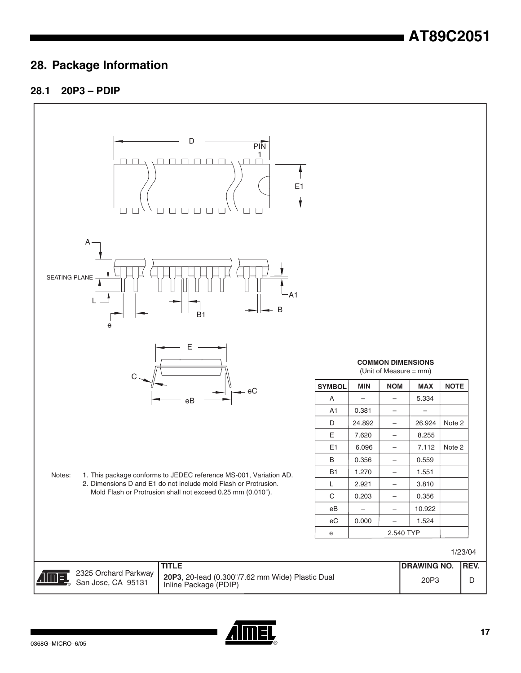## **28. Package Information**





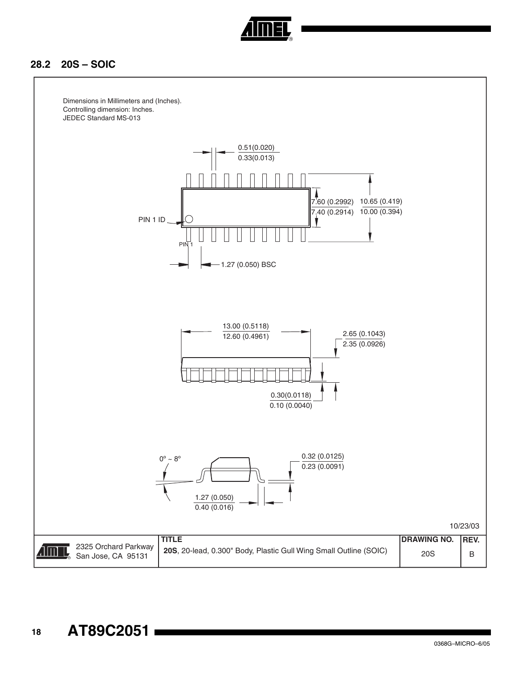#### **28.2 20S – SOIC**

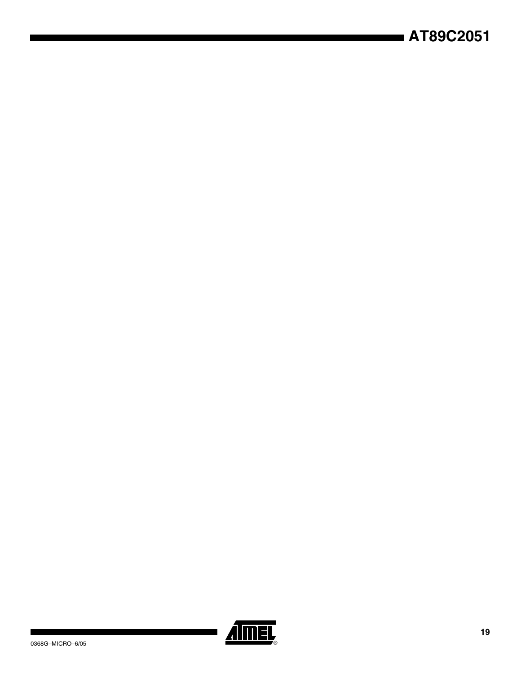